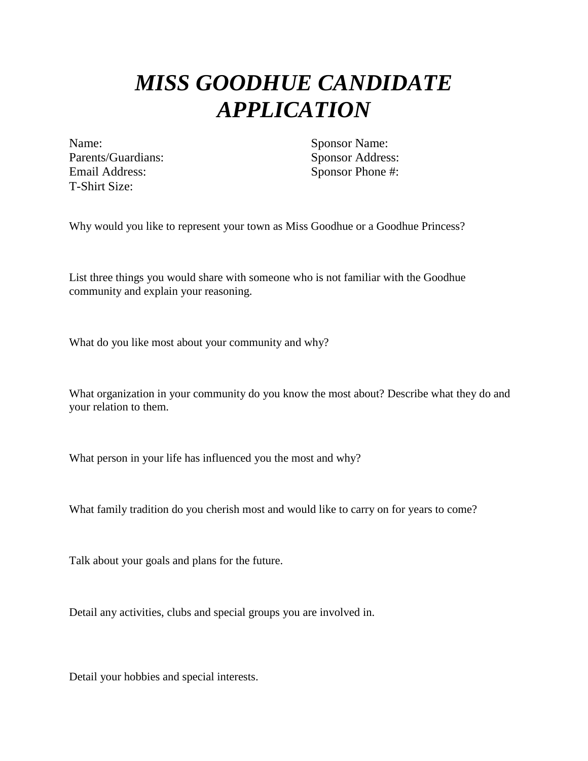## *MISS GOODHUE CANDIDATE APPLICATION*

Name: Sponsor Name: Parents/Guardians: Sponsor Address: Email Address: Sponsor Phone #: T-Shirt Size:

Why would you like to represent your town as Miss Goodhue or a Goodhue Princess?

List three things you would share with someone who is not familiar with the Goodhue community and explain your reasoning.

What do you like most about your community and why?

What organization in your community do you know the most about? Describe what they do and your relation to them.

What person in your life has influenced you the most and why?

What family tradition do you cherish most and would like to carry on for years to come?

Talk about your goals and plans for the future.

Detail any activities, clubs and special groups you are involved in.

Detail your hobbies and special interests.